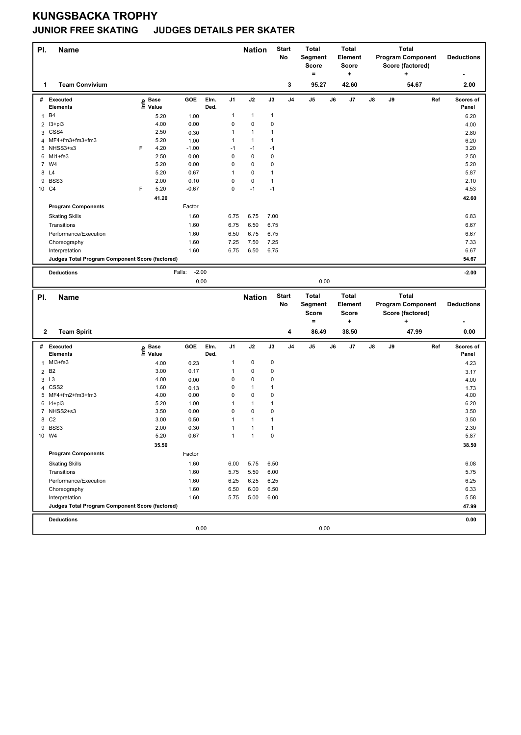## **KUNGSBACKA TROPHY JUNIOR FREE SKATING JUDGES DETAILS PER SKATER**

| PI.            | <b>Name</b>                                     |                   |              |                   |      |              | <b>Nation</b>  |              | <b>Start</b><br>No | <b>Total</b><br>Segment<br><b>Score</b><br>$=$ |    | <b>Total</b><br><b>Element</b><br><b>Score</b><br>٠ |    |    | <b>Total</b><br><b>Program Component</b><br>Score (factored)<br>٠ |     | <b>Deductions</b> |
|----------------|-------------------------------------------------|-------------------|--------------|-------------------|------|--------------|----------------|--------------|--------------------|------------------------------------------------|----|-----------------------------------------------------|----|----|-------------------------------------------------------------------|-----|-------------------|
| 1              | <b>Team Convivium</b>                           |                   |              |                   |      |              |                |              | 3                  | 95.27                                          |    | 42.60                                               |    |    | 54.67                                                             |     | 2.00              |
|                | # Executed                                      | e Base<br>⊆ Value |              | GOE               | Elm. | J1           | J2             | J3           | J <sub>4</sub>     | J5                                             | J6 | J7                                                  | J8 | J9 |                                                                   | Ref | Scores of         |
|                | <b>Elements</b>                                 |                   |              |                   | Ded. | 1            | $\mathbf{1}$   | $\mathbf{1}$ |                    |                                                |    |                                                     |    |    |                                                                   |     | Panel             |
| $\mathbf{1}$   | B4                                              |                   | 5.20<br>4.00 | 1.00<br>0.00      |      | 0            | $\pmb{0}$      | 0            |                    |                                                |    |                                                     |    |    |                                                                   |     | 6.20              |
| 2<br>3         | $13 + pi3$<br>CSS4                              |                   | 2.50         | 0.30              |      | 1            | $\mathbf{1}$   | 1            |                    |                                                |    |                                                     |    |    |                                                                   |     | 4.00              |
| 4              | MF4+fm3+fm3+fm3                                 |                   | 5.20         | 1.00              |      | 1            | $\overline{1}$ | $\mathbf{1}$ |                    |                                                |    |                                                     |    |    |                                                                   |     | 2.80<br>6.20      |
|                | 5 NHSS3+s3                                      | F                 | 4.20         | $-1.00$           |      | $-1$         | $-1$           | $-1$         |                    |                                                |    |                                                     |    |    |                                                                   |     | 3.20              |
| 6              | MI1+fe3                                         |                   | 2.50         | 0.00              |      | $\mathbf 0$  | $\mathbf 0$    | $\mathbf 0$  |                    |                                                |    |                                                     |    |    |                                                                   |     | 2.50              |
| $\overline{7}$ | W4                                              |                   | 5.20         | 0.00              |      | 0            | $\pmb{0}$      | $\pmb{0}$    |                    |                                                |    |                                                     |    |    |                                                                   |     | 5.20              |
| 8              | L4                                              |                   | 5.20         | 0.67              |      | 1            | 0              | $\mathbf{1}$ |                    |                                                |    |                                                     |    |    |                                                                   |     | 5.87              |
| 9              | BSS3                                            |                   | 2.00         | 0.10              |      | 0            | $\mathbf 0$    | $\mathbf{1}$ |                    |                                                |    |                                                     |    |    |                                                                   |     | 2.10              |
|                | 10 C4                                           | F                 | 5.20         | $-0.67$           |      | 0            | $-1$           | $-1$         |                    |                                                |    |                                                     |    |    |                                                                   |     | 4.53              |
|                |                                                 |                   | 41.20        |                   |      |              |                |              |                    |                                                |    |                                                     |    |    |                                                                   |     | 42.60             |
|                | <b>Program Components</b>                       |                   |              | Factor            |      |              |                |              |                    |                                                |    |                                                     |    |    |                                                                   |     |                   |
|                | <b>Skating Skills</b>                           |                   |              | 1.60              |      | 6.75         | 6.75           | 7.00         |                    |                                                |    |                                                     |    |    |                                                                   |     | 6.83              |
|                | Transitions                                     |                   |              | 1.60              |      | 6.75         | 6.50           | 6.75         |                    |                                                |    |                                                     |    |    |                                                                   |     | 6.67              |
|                | Performance/Execution                           |                   |              | 1.60              |      | 6.50         | 6.75           | 6.75         |                    |                                                |    |                                                     |    |    |                                                                   |     | 6.67              |
|                | Choreography                                    |                   |              | 1.60              |      | 7.25         | 7.50           | 7.25         |                    |                                                |    |                                                     |    |    |                                                                   |     | 7.33              |
|                | Interpretation                                  |                   |              | 1.60              |      | 6.75         | 6.50           | 6.75         |                    |                                                |    |                                                     |    |    |                                                                   |     | 6.67              |
|                | Judges Total Program Component Score (factored) |                   |              |                   |      |              |                |              |                    |                                                |    |                                                     |    |    |                                                                   |     | 54.67             |
|                | <b>Deductions</b>                               |                   |              | $-2.00$<br>Falls: |      |              |                |              |                    |                                                |    |                                                     |    |    |                                                                   |     | $-2.00$           |
|                |                                                 |                   |              | 0,00              |      |              |                |              |                    | 0,00                                           |    |                                                     |    |    |                                                                   |     |                   |
|                |                                                 |                   |              |                   |      |              |                |              |                    |                                                |    |                                                     |    |    |                                                                   |     |                   |
|                |                                                 |                   |              |                   |      |              |                |              |                    |                                                |    |                                                     |    |    |                                                                   |     |                   |
| PI.            | <b>Name</b>                                     |                   |              |                   |      |              | <b>Nation</b>  |              | <b>Start</b><br>No | Total<br>Segment                               |    | <b>Total</b><br><b>Element</b>                      |    |    | <b>Total</b><br><b>Program Component</b>                          |     | <b>Deductions</b> |
|                |                                                 |                   |              |                   |      |              |                |              |                    | Score                                          |    | <b>Score</b>                                        |    |    | Score (factored)                                                  |     |                   |
|                |                                                 |                   |              |                   |      |              |                |              |                    | =                                              |    | $\ddot{}$                                           |    |    | +                                                                 |     |                   |
| 2              | <b>Team Spirit</b>                              |                   |              |                   |      |              |                |              | 4                  | 86.49                                          |    | 38.50                                               |    |    | 47.99                                                             |     | 0.00              |
|                | # Executed                                      |                   | Base         | GOE               | Elm. | J1           | J2             | J3           | J <sub>4</sub>     | J5                                             | J6 | J7                                                  | J8 | J9 |                                                                   | Ref | Scores of         |
|                | <b>Elements</b>                                 | lnfo              | Value        |                   | Ded. |              |                |              |                    |                                                |    |                                                     |    |    |                                                                   |     | Panel             |
|                | 1 MI3+fe3                                       |                   | 4.00         | 0.23              |      | 1            | $\pmb{0}$      | $\pmb{0}$    |                    |                                                |    |                                                     |    |    |                                                                   |     | 4.23              |
| $\overline{a}$ | B <sub>2</sub>                                  |                   | 3.00         | 0.17              |      | 1            | $\pmb{0}$      | $\pmb{0}$    |                    |                                                |    |                                                     |    |    |                                                                   |     | 3.17              |
| 3              | L <sub>3</sub>                                  |                   | 4.00         | 0.00              |      | 0            | $\pmb{0}$      | 0            |                    |                                                |    |                                                     |    |    |                                                                   |     | 4.00              |
| 4              | CSS <sub>2</sub>                                |                   | 1.60         | 0.13              |      | 0            | $\overline{1}$ | $\mathbf{1}$ |                    |                                                |    |                                                     |    |    |                                                                   |     | 1.73              |
| 5              | MF4+fm2+fm3+fm3                                 |                   | 4.00         | 0.00              |      | 0            | $\pmb{0}$      | 0            |                    |                                                |    |                                                     |    |    |                                                                   |     | 4.00              |
|                | 6 14+pi3                                        |                   | 5.20         | 1.00              |      | 1            | $\mathbf{1}$   | $\mathbf{1}$ |                    |                                                |    |                                                     |    |    |                                                                   |     | 6.20              |
|                | 7 NHSS2+s3                                      |                   | 3.50         | 0.00              |      | 0            | $\pmb{0}$      | 0            |                    |                                                |    |                                                     |    |    |                                                                   |     | 3.50              |
|                | 8 C <sub>2</sub>                                |                   | 3.00         | 0.50              |      | 1            | $\mathbf{1}$   | 1            |                    |                                                |    |                                                     |    |    |                                                                   |     | 3.50              |
|                | 9 BSS3                                          |                   | 2.00         | 0.30              |      | 1            | $\overline{1}$ | 1            |                    |                                                |    |                                                     |    |    |                                                                   |     | 2.30              |
|                | 10 W4                                           |                   | 5.20         | 0.67              |      | $\mathbf{1}$ | $\mathbf{1}$   | 0            |                    |                                                |    |                                                     |    |    |                                                                   |     | 5.87              |
|                |                                                 |                   | 35.50        |                   |      |              |                |              |                    |                                                |    |                                                     |    |    |                                                                   |     | 38.50             |
|                | <b>Program Components</b>                       |                   |              | Factor            |      |              |                |              |                    |                                                |    |                                                     |    |    |                                                                   |     |                   |
|                | <b>Skating Skills</b>                           |                   |              | 1.60              |      | 6.00         | 5.75           | 6.50         |                    |                                                |    |                                                     |    |    |                                                                   |     | 6.08              |
|                | Transitions                                     |                   |              | 1.60              |      | 5.75         | 5.50           | 6.00         |                    |                                                |    |                                                     |    |    |                                                                   |     | 5.75              |
|                | Performance/Execution                           |                   |              | 1.60              |      | 6.25         | 6.25           | 6.25         |                    |                                                |    |                                                     |    |    |                                                                   |     | 6.25              |
|                | Choreography<br>Interpretation                  |                   |              | 1.60<br>1.60      |      | 6.50<br>5.75 | 6.00<br>5.00   | 6.50<br>6.00 |                    |                                                |    |                                                     |    |    |                                                                   |     | 6.33<br>5.58      |
|                | Judges Total Program Component Score (factored) |                   |              |                   |      |              |                |              |                    |                                                |    |                                                     |    |    |                                                                   |     | 47.99             |
|                |                                                 |                   |              |                   |      |              |                |              |                    |                                                |    |                                                     |    |    |                                                                   |     |                   |
|                | <b>Deductions</b>                               |                   |              | 0,00              |      |              |                |              |                    | 0,00                                           |    |                                                     |    |    |                                                                   |     | 0.00              |